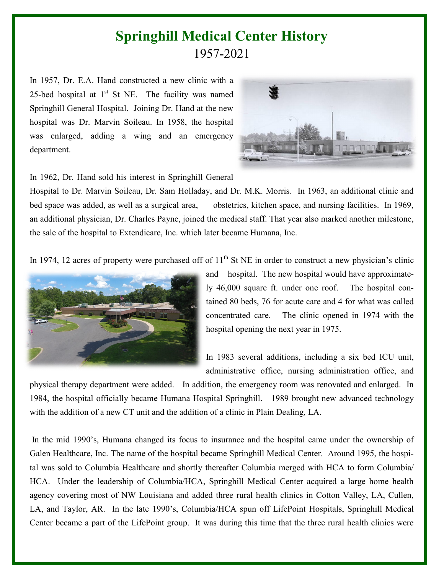## **Springhill Medical Center History**  1957-2021

In 1957, Dr. E.A. Hand constructed a new clinic with a 25-bed hospital at  $1<sup>st</sup>$  St NE. The facility was named Springhill General Hospital. Joining Dr. Hand at the new hospital was Dr. Marvin Soileau. In 1958, the hospital was enlarged, adding a wing and an emergency department.



In 1962, Dr. Hand sold his interest in Springhill General

Hospital to Dr. Marvin Soileau, Dr. Sam Holladay, and Dr. M.K. Morris. In 1963, an additional clinic and bed space was added, as well as a surgical area, obstetrics, kitchen space, and nursing facilities. In 1969, an additional physician, Dr. Charles Payne, joined the medical staff. That year also marked another milestone, the sale of the hospital to Extendicare, Inc. which later became Humana, Inc.

In 1974, 12 acres of property were purchased off of  $11<sup>th</sup>$  St NE in order to construct a new physician's clinic



and hospital. The new hospital would have approximately 46,000 square ft. under one roof. The hospital contained 80 beds, 76 for acute care and 4 for what was called concentrated care. The clinic opened in 1974 with the hospital opening the next year in 1975.

In 1983 several additions, including a six bed ICU unit, administrative office, nursing administration office, and

physical therapy department were added. In addition, the emergency room was renovated and enlarged. In 1984, the hospital officially became Humana Hospital Springhill. 1989 brought new advanced technology with the addition of a new CT unit and the addition of a clinic in Plain Dealing, LA.

In the mid 1990's, Humana changed its focus to insurance and the hospital came under the ownership of Galen Healthcare, Inc. The name of the hospital became Springhill Medical Center. Around 1995, the hospital was sold to Columbia Healthcare and shortly thereafter Columbia merged with HCA to form Columbia/ HCA. Under the leadership of Columbia/HCA, Springhill Medical Center acquired a large home health agency covering most of NW Louisiana and added three rural health clinics in Cotton Valley, LA, Cullen, LA, and Taylor, AR. In the late 1990's, Columbia/HCA spun off LifePoint Hospitals, Springhill Medical Center became a part of the LifePoint group. It was during this time that the three rural health clinics were